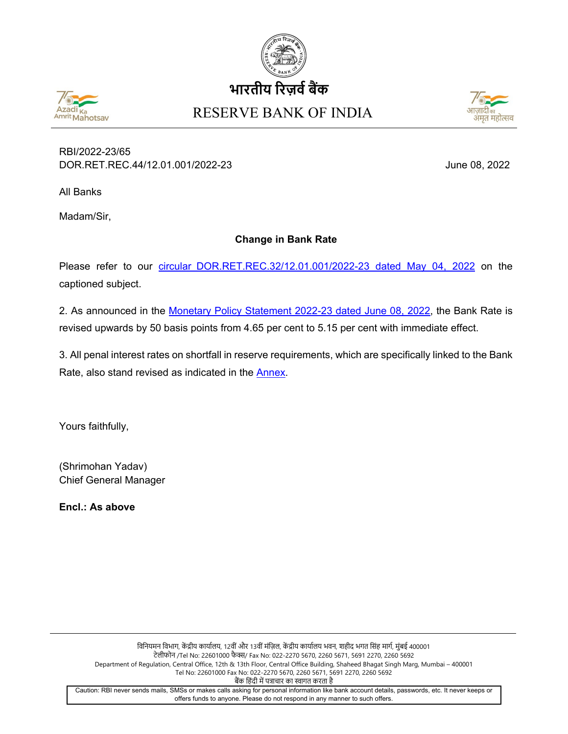





## RBI/2022-23/65 DOR.RET.REC.44/12.01.001/2022-23 June 08, 2022

All Banks

Madam/Sir,

## **Change in Bank Rate**

Please refer to our circular [DOR.RET.REC.32/12.01.001/2022-23](https://www.rbi.org.in/Scripts/NotificationUser.aspx?Id=12312&Mode=0) dated May 04, 2022 on the captioned subject.

2. As announced in the [Monetary Policy Statement 2022-23](https://www.rbi.org.in/Scripts/BS_PressReleaseDisplay.aspx?prid=53832) dated June 08, 2022, the Bank Rate is revised upwards by 50 basis points from 4.65 per cent to 5.15 per cent with immediate effect.

3. All penal interest rates on shortfall in reserve requirements, which are specifically linked to the Bank Rate, also stand revised as indicated in the [Annex.](#page-1-0)

Yours faithfully,

(Shrimohan Yadav) Chief General Manager

**Encl.: As above**

विनियमन विभाग, केंद्रीय कार्यालय, 12वीं और 13वीं मंज़िल, केंद्रीय कार्यालय भवन, शहीद भगत सिंह मार्ग, मुंबई 400001 टेलीफोन /Tel No: 22601000 फैक्स/ Fax No: 022-2270 5670, 2260 5671, 5691 2270, 2260 5692 Department of Regulation, Central Office, 12th & 13th Floor, Central Office Building, Shaheed Bhagat Singh Marg, Mumbai – 400001 Tel No: 22601000 Fax No: 022-2270 5670, 2260 5671, 5691 2270, 2260 5692 बैंक हिंदी में पत्राचार का स्वागत करता है Caution: RBI never sends mails, SMSs or makes calls asking for personal information like bank account details, passwords, etc. It never keeps or offers funds to anyone. Please do not respond in any manner to such offers.